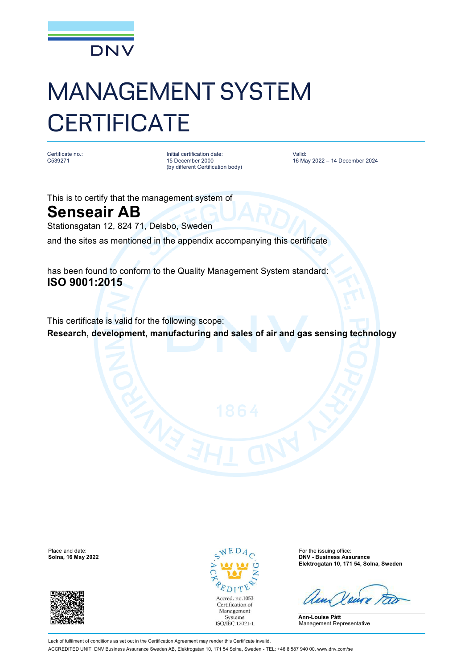

## MANAGEMENT SYSTEM **CERTIFICATE**

Certificate no.: C539271

Initial certification date: 15 December 2000 (by different Certification body) Valid: 16 May 2022 – 14 December 2024

This is to certify that the management system of

## **Senseair AB**

Stationsgatan 12, 824 71, Delsbo, Sweden

and the sites as mentioned in the appendix accompanying this certificate

has been found to conform to the Quality Management System standard: **ISO 9001:2015**

This certificate is valid for the following scope: **Research, development, manufacturing and sales of air and gas sensing technology**





Place and date: For the issuing office: **Solna, 16 May 2022 DNV - Business Assurance Elektrogatan 10, 171 54, Solna, Sweden**

**Ann-Louise Pått** Management Representative

Lack of fulfilment of conditions as set out in the Certification Agreement may render this Certificate invalid. ACCREDITED UNIT: DNV Business Assurance Sweden AB, Elektrogatan 10, 171 54 Solna, Sweden - TEL: +46 8 587 940 00. [www.dnv.com/se](http://www.dnv.com/se)